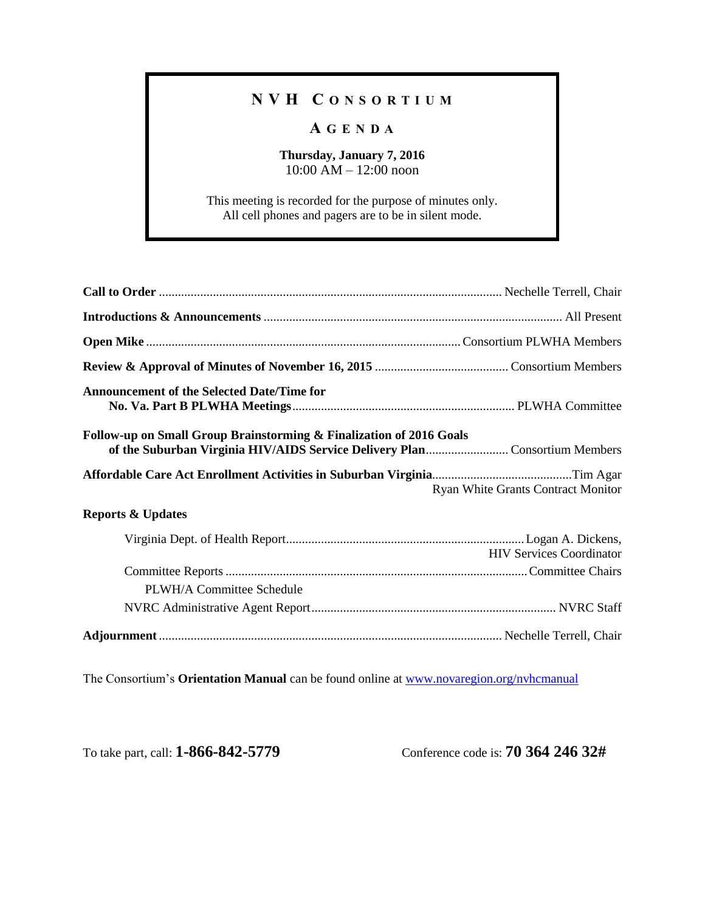## **N V H C O N S O R T I U M**

## **A G E N D A**

## **Thursday, January 7, 2016** 10:00 AM – 12:00 noon

This meeting is recorded for the purpose of minutes only. All cell phones and pagers are to be in silent mode.

| <b>Announcement of the Selected Date/Time for</b>                   |                                           |  |  |  |
|---------------------------------------------------------------------|-------------------------------------------|--|--|--|
| Follow-up on Small Group Brainstorming & Finalization of 2016 Goals |                                           |  |  |  |
|                                                                     |                                           |  |  |  |
|                                                                     | <b>Ryan White Grants Contract Monitor</b> |  |  |  |
| <b>Reports &amp; Updates</b>                                        |                                           |  |  |  |
|                                                                     | <b>HIV Services Coordinator</b>           |  |  |  |
|                                                                     |                                           |  |  |  |
| PLWH/A Committee Schedule                                           |                                           |  |  |  |
|                                                                     |                                           |  |  |  |

The Consortium's **Orientation Manual** can be found online at [www.novaregion.org/nvhcmanual](http://www.novaregion.org/nvhcmanual)

To take part, call: **1-866-842-5779** Conference code is: **70 364 246 32#**